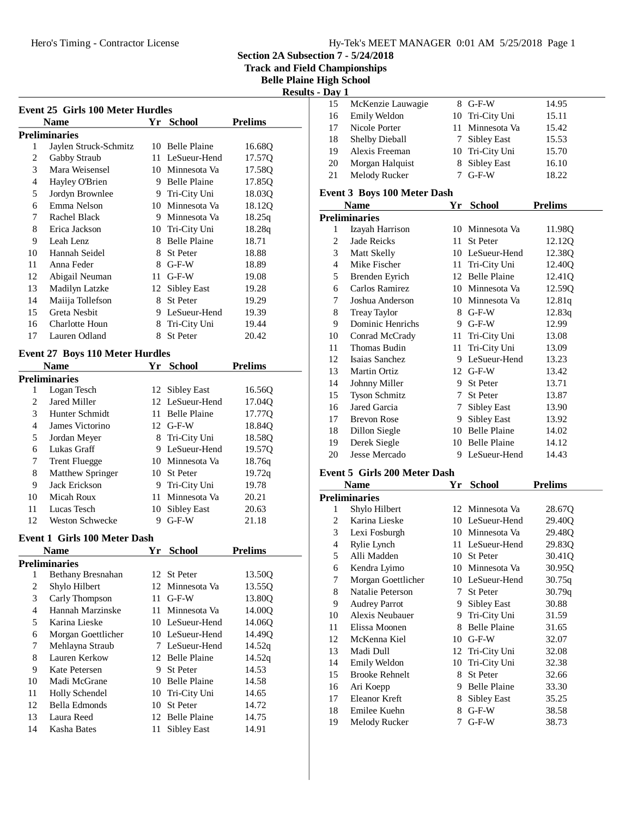**Track and Field Championships**

**Belle Plaine High School**

| <b>Results - Dav</b> |  |
|----------------------|--|
|----------------------|--|

| Event 25 Girls 100 Meter Hurdles |                       |    |                     |                |
|----------------------------------|-----------------------|----|---------------------|----------------|
|                                  | <b>Name</b>           | Yr | <b>School</b>       | <b>Prelims</b> |
|                                  | Preliminaries         |    |                     |                |
| 1                                | Jaylen Struck-Schmitz |    | 10 Belle Plaine     | 16.68Q         |
| 2                                | Gabby Straub          | 11 | LeSueur-Hend        | 17.57Q         |
| 3                                | Mara Weisensel        |    | 10 Minnesota Va     | 17.58Q         |
| 4                                | Hayley O'Brien        | 9  | <b>Belle Plaine</b> | 17.85Q         |
| 5                                | Jordyn Brownlee       | 9  | Tri-City Uni        | 18.03Q         |
| 6                                | Emma Nelson           | 10 | Minnesota Va        | 18.12Q         |
| 7                                | Rachel Black          | 9  | Minnesota Va        | 18.25q         |
| 8                                | Erica Jackson         | 10 | Tri-City Uni        | 18.28q         |
| 9                                | Leah Lenz             | 8  | <b>Belle Plaine</b> | 18.71          |
| 10                               | Hannah Seidel         | 8  | <b>St Peter</b>     | 18.88          |
| 11                               | Anna Feder            | 8  | $G-F-W$             | 18.89          |
| 12                               | Abigail Neuman        | 11 | $G-F-W$             | 19.08          |
| 13                               | Madilyn Latzke        | 12 | Sibley East         | 19.28          |
| 14                               | Maiija Tollefson      | 8  | <b>St Peter</b>     | 19.29          |
| 15                               | Greta Nesbit          | 9  | LeSueur-Hend        | 19.39          |
| 16                               | Charlotte Houn        | 8  | Tri-City Uni        | 19.44          |
| 17                               | Lauren Odland         | 8  | <b>St Peter</b>     | 20.42          |
|                                  |                       |    |                     |                |

## **Event 27 Boys 110 Meter Hurdles**

|    | <b>Name</b>             | Yr  | <b>School</b>       | <b>Prelims</b>     |
|----|-------------------------|-----|---------------------|--------------------|
|    | Preliminaries           |     |                     |                    |
| l  | Logan Tesch             |     | 12 Sibley East      | 16.560             |
| 2  | Jared Miller            |     | 12 LeSueur-Hend     | 17.04Q             |
| 3  | Hunter Schmidt          | 11  | <b>Belle Plaine</b> | 17.77 <sub>O</sub> |
| 4  | James Victorino         |     | $12$ G-F-W          | 18.84Q             |
| 5  | Jordan Meyer            |     | 8 Tri-City Uni      | 18.58O             |
| 6  | Lukas Graff             | 9   | LeSueur-Hend        | 19.570             |
| 7  | <b>Trent Fluegge</b>    |     | 10 Minnesota Va     | 18.76g             |
| 8  | <b>Matthew Springer</b> |     | 10 St Peter         | 19.72q             |
| 9  | Jack Erickson           | 9   | Tri-City Uni        | 19.78              |
| 10 | Micah Roux              | 11. | Minnesota Va        | 20.21              |
| 11 | Lucas Tesch             | 10  | Sibley East         | 20.63              |
| 12 | Weston Schwecke         | 9   | $G-F-W$             | 21.18              |

#### **Event 1 Girls 100 Meter Dash**

|               | <b>Name</b>        | Yr | <b>School</b>       | <b>Prelims</b> |  |
|---------------|--------------------|----|---------------------|----------------|--|
| Preliminaries |                    |    |                     |                |  |
| 1             | Bethany Bresnahan  |    | 12 St Peter         | 13.500         |  |
| 2             | Shylo Hilbert      |    | 12 Minnesota Va     | 13.55Q         |  |
| 3             | Carly Thompson     | 11 | $G-F-W$             | 13.80O         |  |
| 4             | Hannah Marzinske   | 11 | Minnesota Va        | 14.00Q         |  |
| 5             | Karina Lieske      |    | 10 LeSueur-Hend     | 14.060         |  |
| 6             | Morgan Goettlicher |    | 10 LeSueur-Hend     | 14.49O         |  |
| 7             | Mehlayna Straub    |    | 7 LeSueur-Hend      | 14.52q         |  |
| 8             | Lauren Kerkow      |    | 12 Belle Plaine     | 14.52q         |  |
| 9             | Kate Petersen      | 9  | <b>St</b> Peter     | 14.53          |  |
| 10            | Madi McGrane       | 10 | <b>Belle Plaine</b> | 14.58          |  |
| 11            | Holly Schendel     |    | 10 Tri-City Uni     | 14.65          |  |
| 12            | Bella Edmonds      | 10 | <b>St</b> Peter     | 14.72          |  |
| 13            | Laura Reed         | 12 | <b>Belle Plaine</b> | 14.75          |  |
| 14            | Kasha Bates        | 11 | Sibley East         | 14.91          |  |

| Day 1 |                       |                 |       |  |
|-------|-----------------------|-----------------|-------|--|
| 15    | McKenzie Lauwagie     | $8$ G-F-W       | 14.95 |  |
| 16    | Emily Weldon          | 10 Tri-City Uni | 15.11 |  |
| 17    | Nicole Porter         | 11 Minnesota Va | 15.42 |  |
| 18    | <b>Shelby Dieball</b> | 7 Sibley East   | 15.53 |  |
| 19    | Alexis Freeman        | 10 Tri-City Uni | 15.70 |  |
| 20    | Morgan Halquist       | 8 Sibley East   | 16.10 |  |
| 21    | Melody Rucker         | $G-F-W$         | 18.22 |  |

## **Event 3 Boys 100 Meter Dash**

|    | Name                 | Yr | <b>School</b>       | <b>Prelims</b> |
|----|----------------------|----|---------------------|----------------|
|    | Preliminaries        |    |                     |                |
| 1  | Izayah Harrison      | 10 | Minnesota Va        | 11.98Q         |
| 2  | Jade Reicks          | 11 | St Peter            | 12.12Q         |
| 3  | Matt Skelly          |    | 10 LeSueur-Hend     | 12.38Q         |
| 4  | Mike Fischer         | 11 | Tri-City Uni        | 12.40Q         |
| 5  | Brenden Eyrich       |    | 12 Belle Plaine     | 12.41Q         |
| 6  | Carlos Ramirez       | 10 | Minnesota Va        | 12.59Q         |
| 7  | Joshua Anderson      |    | 10 Minnesota Va     | 12.81q         |
| 8  | <b>Treay Taylor</b>  | 8  | $G-F-W$             | 12.83q         |
| 9  | Dominic Henrichs     | 9  | $G-F-W$             | 12.99          |
| 10 | Conrad McCrady       | 11 | Tri-City Uni        | 13.08          |
| 11 | Thomas Budin         | 11 | Tri-City Uni        | 13.09          |
| 12 | Isaias Sanchez       | 9  | LeSueur-Hend        | 13.23          |
| 13 | Martin Ortiz         |    | 12 G-F-W            | 13.42          |
| 14 | Johnny Miller        | 9. | St Peter            | 13.71          |
| 15 | <b>Tyson Schmitz</b> | 7  | St Peter            | 13.87          |
| 16 | Jared Garcia         | 7  | Sibley East         | 13.90          |
| 17 | <b>Brevon Rose</b>   | 9  | Sibley East         | 13.92          |
| 18 | Dillon Siegle        | 10 | <b>Belle Plaine</b> | 14.02          |
| 19 | Derek Siegle         | 10 | <b>Belle Plaine</b> | 14.12          |
| 20 | Jesse Mercado        | 9  | LeSueur-Hend        | 14.43          |

## **Event 5 Girls 200 Meter Dash**

|    | Name                  | Yr          | <b>School</b>       | Prelims |  |
|----|-----------------------|-------------|---------------------|---------|--|
|    | Preliminaries         |             |                     |         |  |
| 1  | Shylo Hilbert         |             | 12 Minnesota Va     | 28.67Q  |  |
| 2  | Karina Lieske         |             | 10 LeSueur-Hend     | 29.40O  |  |
| 3  | Lexi Fosburgh         |             | 10 Minnesota Va     | 29.48Q  |  |
| 4  | Rylie Lynch           |             | 11 LeSueur-Hend     | 29.83Q  |  |
| 5  | Alli Madden           | 10          | St Peter            | 30.41Q  |  |
| 6  | Kendra Lyimo          | 10          | Minnesota Va        | 30.95Q  |  |
| 7  | Morgan Goettlicher    |             | 10 LeSueur-Hend     | 30.75q  |  |
| 8  | Natalie Peterson      | $7^{\circ}$ | <b>St Peter</b>     | 30.79q  |  |
| 9  | <b>Audrey Parrot</b>  | 9.          | Sibley East         | 30.88   |  |
| 10 | Alexis Neubauer       | 9.          | Tri-City Uni        | 31.59   |  |
| 11 | Elissa Moonen         | 8           | <b>Belle Plaine</b> | 31.65   |  |
| 12 | McKenna Kiel          | 10          | $G-F-W$             | 32.07   |  |
| 13 | Madi Dull             |             | 12 Tri-City Uni     | 32.08   |  |
| 14 | Emily Weldon          | 10          | Tri-City Uni        | 32.38   |  |
| 15 | <b>Brooke Rehnelt</b> | 8           | <b>St Peter</b>     | 32.66   |  |
| 16 | Ari Koepp             | 9           | <b>Belle Plaine</b> | 33.30   |  |
| 17 | Eleanor Kreft         | 8           | Sibley East         | 35.25   |  |
| 18 | Emilee Kuehn          | 8           | $G-F-W$             | 38.58   |  |
| 19 | Melody Rucker         | 7           | $G-F-W$             | 38.73   |  |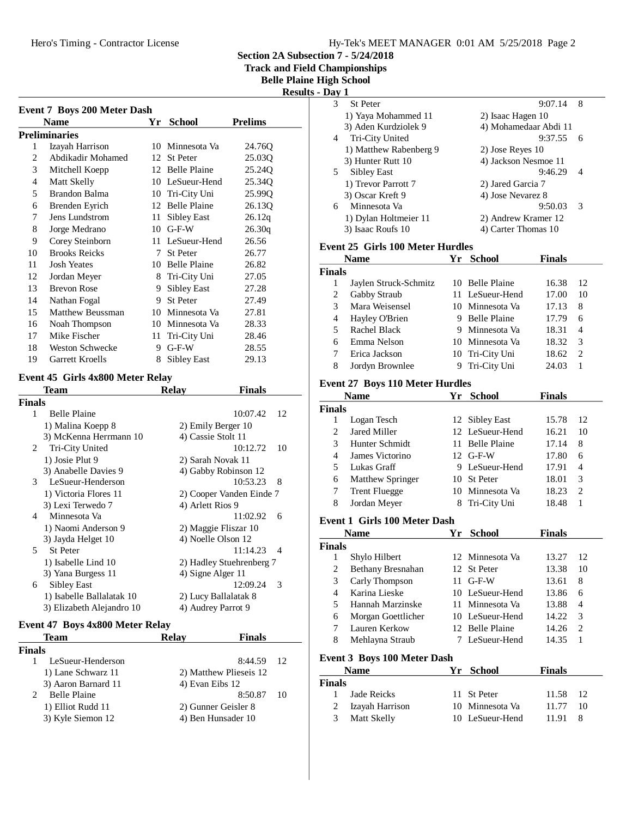Hero's Timing - Contractor License

**Section 2A Subsection 7 - 5/24/2018**

**Track and Championships** 

**Belle High School** 

|                |                                     |    |                    | лими <i>н</i> и мим<br>Track and Fiel<br><b>Belle Plain</b> | Result |
|----------------|-------------------------------------|----|--------------------|-------------------------------------------------------------|--------|
|                | <b>Event 7 Boys 200 Meter Dash</b>  |    |                    |                                                             |        |
|                | <b>Name</b><br><b>Preliminaries</b> | Yr | <b>School</b>      | <b>Prelims</b>                                              |        |
| 1              | Izayah Harrison                     |    | 10 Minnesota Va    | 24.76Q                                                      |        |
| 2              | Abdikadir Mohamed                   | 12 | <b>St Peter</b>    | 25.03Q                                                      |        |
| 3              | Mitchell Koepp                      |    | 12 Belle Plaine    | 25.24Q                                                      |        |
| $\overline{4}$ | Matt Skelly                         |    | 10 LeSueur-Hend    | 25.34Q                                                      |        |
| 5              | Brandon Balma                       | 10 | Tri-City Uni       | 25.99Q                                                      |        |
| 6              | Brenden Eyrich                      |    | 12 Belle Plaine    | 26.130                                                      |        |
| 7              | Jens Lundstrom                      | 11 | Sibley East        | 26.12q                                                      |        |
| 8              | Jorge Medrano                       |    | $10$ G-F-W         | 26.30q                                                      |        |
| 9              | Corey Steinborn                     |    | 11 LeSueur-Hend    | 26.56                                                       |        |
| 10             | <b>Brooks Reicks</b>                | 7  | <b>St Peter</b>    | 26.77                                                       |        |
| 11             | <b>Josh Yeates</b>                  |    | 10 Belle Plaine    | 26.82                                                       |        |
| 12             | Jordan Meyer                        | 8  | Tri-City Uni       | 27.05                                                       |        |
| 13             | <b>Brevon Rose</b>                  | 9. | <b>Sibley East</b> | 27.28                                                       |        |
| 14             | Nathan Fogal                        | 9  | <b>St Peter</b>    | 27.49                                                       |        |
| 15             | Matthew Beussman                    |    | 10 Minnesota Va    | 27.81                                                       |        |
| 16             | Noah Thompson                       |    | 10 Minnesota Va    | 28.33                                                       |        |
| 17             | Mike Fischer                        | 11 | Tri-City Uni       | 28.46                                                       |        |
| 18             | <b>Weston Schwecke</b>              | 9  | $G-F-W$            | 28.55                                                       |        |
| 19             | <b>Garrett Kroells</b>              | 8  | <b>Sibley East</b> | 29.13                                                       |        |
|                | Event 45 Girls 4x800 Meter Relay    |    |                    |                                                             |        |
|                | Team                                |    | Relav              | <b>Finals</b>                                               |        |

|               | тсаш                      | ixcia y                  | гицанэ         |
|---------------|---------------------------|--------------------------|----------------|
| <b>Finals</b> |                           |                          |                |
| 1             | <b>Belle Plaine</b>       |                          | 10:07.42<br>12 |
|               | 1) Malina Koepp 8         | 2) Emily Berger 10       |                |
|               | 3) McKenna Herrmann 10    | 4) Cassie Stolt 11       |                |
| 2             | Tri-City United           |                          | 10:12.72<br>10 |
|               | 1) Josie Plut 9           | 2) Sarah Novak 11        |                |
|               | 3) Anabelle Davies 9      | 4) Gabby Robinson 12     |                |
| 3             | LeSueur-Henderson         |                          | $10:53.23$ 8   |
|               | 1) Victoria Flores 11     | 2) Cooper Vanden Einde 7 |                |
|               | 3) Lexi Terwedo 7         | 4) Arlett Rios 9         |                |
| 4             | Minnesota Va              |                          | 11:02.92<br>6  |
|               | 1) Naomi Anderson 9       | 2) Maggie Fliszar 10     |                |
|               | 3) Jayda Helget 10        | 4) Noelle Olson 12       |                |
| 5.            | <b>St Peter</b>           |                          | 11:14.23<br>-4 |
|               | 1) Isabelle Lind 10       | 2) Hadley Stuehrenberg 7 |                |
|               | 3) Yana Burgess 11        | 4) Signe Alger 11        |                |
| 6             | Sibley East               |                          | 12:09.24<br>-3 |
|               | 1) Isabelle Ballalatak 10 | 2) Lucy Ballalatak 8     |                |
|               | 3) Elizabeth Alejandro 10 | 4) Audrey Parrot 9       |                |

## **Event 47 Boys 4x800 Meter Relay**

| <b>Relav</b> | <b>Finals</b> |                                                                                        |
|--------------|---------------|----------------------------------------------------------------------------------------|
|              |               |                                                                                        |
|              | 8:44.59 12    |                                                                                        |
|              |               |                                                                                        |
|              |               |                                                                                        |
|              | 8:50.87       | -10                                                                                    |
|              |               |                                                                                        |
|              |               |                                                                                        |
|              |               | 2) Matthew Plieseis 12<br>4) Evan Eibs 12<br>2) Gunner Geisler 8<br>4) Ben Hunsader 10 |

| ts - Dav 1 |                        |                       |   |
|------------|------------------------|-----------------------|---|
| 3          | <b>St Peter</b>        | 9:07.14               | 8 |
|            | 1) Yaya Mohammed 11    | 2) Isaac Hagen 10     |   |
|            | 3) Aden Kurdziolek 9   | 4) Mohamedaar Abdi 11 |   |
| 4          | Tri-City United        | 9:37.55               | 6 |
|            | 1) Matthew Rabenberg 9 | 2) Jose Reyes 10      |   |
|            | 3) Hunter Rutt 10      | 4) Jackson Nesmoe 11  |   |
| 5          | Sibley East            | 9:46.29               | 4 |
|            | 1) Trevor Parrott 7    | 2) Jared Garcia 7     |   |
|            | 3) Oscar Kreft 9       | 4) Jose Nevarez 8     |   |
| 6          | Minnesota Va           | 9:50.03               | 3 |
|            | 1) Dylan Holtmeier 11  | 2) Andrew Kramer 12   |   |
|            | 3) Isaac Roufs 10      | 4) Carter Thomas 10   |   |

## **Event 25 Girls 100 Meter Hurdles**

| <b>Name</b>   |                       | Yг | School          | <b>Finals</b> |                             |
|---------------|-----------------------|----|-----------------|---------------|-----------------------------|
| <b>Finals</b> |                       |    |                 |               |                             |
|               | Jaylen Struck-Schmitz |    | 10 Belle Plaine | 16.38         | 12                          |
| 2             | Gabby Straub          |    | 11 LeSueur-Hend | 17.00         | 10                          |
| 3             | Mara Weisensel        |    | 10 Minnesota Va | 17.13         | 8                           |
| 4             | Hayley O'Brien        |    | 9 Belle Plaine  | 17.79         | 6                           |
| 5             | Rachel Black          |    | 9 Minnesota Va  | 18.31         | 4                           |
| 6             | Emma Nelson           |    | 10 Minnesota Va | 18.32         | 3                           |
|               | Erica Jackson         |    | 10 Tri-City Uni | 18.62         | $\mathcal{D}_{\mathcal{A}}$ |
| 8             | Jordyn Brownlee       | 9  | Tri-City Uni    | 24.03         |                             |

#### **Event 27 Boys 110 Meter Hurdles**

|               | <b>Name</b>          | Yr | School          | <b>Finals</b> |                             |
|---------------|----------------------|----|-----------------|---------------|-----------------------------|
| <b>Finals</b> |                      |    |                 |               |                             |
|               | Logan Tesch          |    | 12 Sibley East  | 15.78         | 12                          |
| 2             | Jared Miller         |    | 12 LeSueur-Hend | 16.21         | 10                          |
| 3             | Hunter Schmidt       |    | 11 Belle Plaine | 17.14         | 8                           |
| 4             | James Victorino      |    | $12$ G-F-W      | 17.80         | 6                           |
| 5             | Lukas Graff          |    | 9 LeSueur-Hend  | 17.91         | 4                           |
| 6             | Matthew Springer     |    | 10 St Peter     | 18.01         | 3                           |
|               | <b>Trent Fluegge</b> |    | 10 Minnesota Va | 18.23         | $\mathcal{D}_{\mathcal{A}}$ |
| 8             | Jordan Meyer         |    | 8 Tri-City Uni  | 18.48         |                             |

#### **Event 1 Girls 100 Meter Dash**

| Name          |                    | Yr School       | Finals |    |
|---------------|--------------------|-----------------|--------|----|
| <b>Finals</b> |                    |                 |        |    |
| 1             | Shylo Hilbert      | 12 Minnesota Va | 13.27  | 12 |
| 2             | Bethany Bresnahan  | 12 St Peter     | 13.38  | 10 |
| 3             | Carly Thompson     | $11$ G-F-W      | 13.61  | 8  |
| 4             | Karina Lieske      | 10 LeSueur-Hend | 13.86  | 6  |
| 5             | Hannah Marzinske   | 11 Minnesota Va | 13.88  | 4  |
| 6             | Morgan Goettlicher | 10 LeSueur-Hend | 14.22  | 3  |
|               | Lauren Kerkow      | 12 Belle Plaine | 14.26  | 2  |
| 8             | Mehlayna Straub    | LeSueur-Hend    | 14.35  |    |

## **Event 3 Boys 100 Meter Dash**

|               | <b>Name</b>       | Yr School       | <b>Finals</b> |     |
|---------------|-------------------|-----------------|---------------|-----|
| <b>Finals</b> |                   |                 |               |     |
|               | 1 Jade Reicks     | 11 St Peter     | 11.58 12      |     |
|               | 2 Izayah Harrison | 10 Minnesota Va | 11.77         | -10 |
|               | 3 Matt Skelly     | 10 LeSueur-Hend | 11.91         | 8   |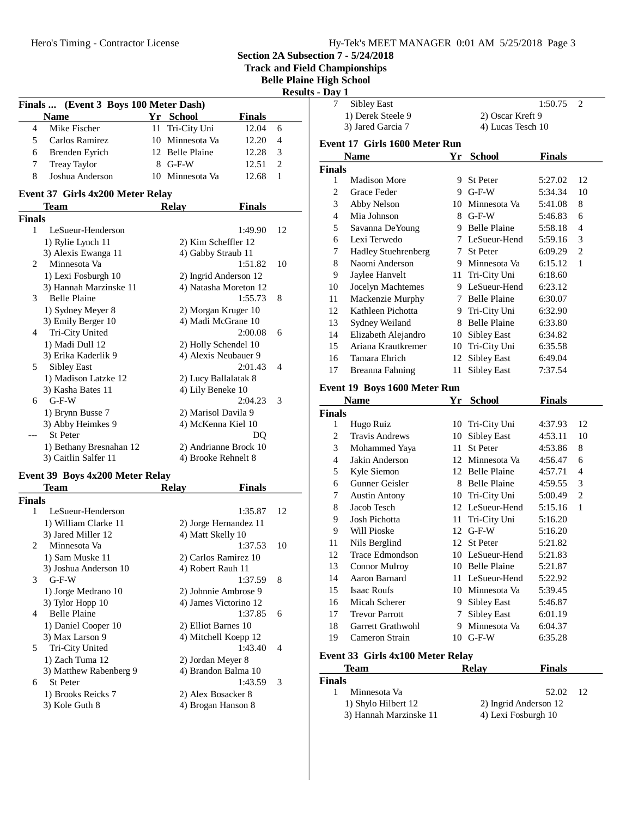| Hy-Tek's MEET MANAGER 0:01 AM 5/25/2018 Page 3 |  |  |  |
|------------------------------------------------|--|--|--|
|------------------------------------------------|--|--|--|

**Track and Field Championships**

**Belle Plaine High School**

| <b>Results - Day 1</b> |  |
|------------------------|--|
|------------------------|--|

|                | Finals  (Event 3 Boys 100 Meter Dash) |    |                       |               |                |  |
|----------------|---------------------------------------|----|-----------------------|---------------|----------------|--|
|                | <b>Name</b>                           |    | Yr School             | <b>Finals</b> |                |  |
| $\overline{4}$ | Mike Fischer                          | 11 | Tri-City Uni          | 12.04         | 6              |  |
| 5              | Carlos Ramirez                        | 10 | Minnesota Va          | 12.20         | $\overline{4}$ |  |
| 6              | Brenden Eyrich                        |    | 12 Belle Plaine       | 12.28         | 3              |  |
| 7              | <b>Treay Taylor</b>                   |    | 8 G-F-W               | 12.51         | $\overline{c}$ |  |
| 8              | Joshua Anderson                       |    | 10 Minnesota Va       | 12.68         | 1              |  |
|                | Event 37 Girls 4x200 Meter Relay      |    |                       |               |                |  |
|                | <b>Team</b>                           |    | <b>Relay</b>          | <b>Finals</b> |                |  |
| Finals         |                                       |    |                       |               |                |  |
| $\mathbf{1}$   | LeSueur-Henderson                     |    |                       | 1:49.90       | 12             |  |
|                | 1) Rylie Lynch 11                     |    | 2) Kim Scheffler 12   |               |                |  |
|                | 3) Alexis Ewanga 11                   |    | 4) Gabby Straub 11    |               |                |  |
| $\overline{c}$ | Minnesota Va                          |    |                       | 1:51.82       | 10             |  |
|                | 1) Lexi Fosburgh 10                   |    | 2) Ingrid Anderson 12 |               |                |  |
|                | 3) Hannah Marzinske 11                |    | 4) Natasha Moreton 12 |               |                |  |
| 3              | <b>Belle Plaine</b>                   |    |                       | 1:55.73       | 8              |  |
|                | 1) Sydney Meyer 8                     |    | 2) Morgan Kruger 10   |               |                |  |
|                | 3) Emily Berger 10                    |    | 4) Madi McGrane 10    |               |                |  |
| 4              | Tri-City United                       |    |                       | 2:00.08       | 6              |  |
|                | 1) Madi Dull 12                       |    | 2) Holly Schendel 10  |               |                |  |
|                | 3) Erika Kaderlik 9                   |    | 4) Alexis Neubauer 9  |               |                |  |
| 5              | <b>Sibley East</b>                    |    |                       | 2:01.43       | 4              |  |
|                | 1) Madison Latzke 12                  |    | 2) Lucy Ballalatak 8  |               |                |  |
|                | 3) Kasha Bates 11                     |    | 4) Lily Beneke 10     |               |                |  |
| 6              | $G-F-W$                               |    |                       | 2:04.23       | 3              |  |
|                | 1) Brynn Busse 7                      |    | 2) Marisol Davila 9   |               |                |  |
|                | 3) Abby Heimkes 9                     |    | 4) McKenna Kiel 10    |               |                |  |
|                | St Peter                              |    |                       | DO            |                |  |
|                | 1) Bethany Bresnahan 12               |    | 2) Andrianne Brock 10 |               |                |  |
|                | 3) Caitlin Salfer 11                  |    | 4) Brooke Rehnelt 8   |               |                |  |
|                | Event 39 Boys 4x200 Meter Relay       |    |                       |               |                |  |

|                        | Team                   | Relav<br><b>Finals</b> |    |
|------------------------|------------------------|------------------------|----|
| Finals                 |                        |                        |    |
| 1                      | LeSueur-Henderson      | 1:35.87                | 12 |
|                        | 1) William Clarke 11   | 2) Jorge Hernandez 11  |    |
|                        | 3) Jared Miller 12     | 4) Matt Skelly 10      |    |
| $\mathfrak{D}_{\cdot}$ | Minnesota Va           | 1:37.53                | 10 |
|                        | 1) Sam Muske 11        | 2) Carlos Ramirez 10   |    |
|                        | 3) Joshua Anderson 10  | 4) Robert Rauh 11      |    |
| 3                      | $G-F-W$                | 1:37.59                | 8  |
|                        | 1) Jorge Medrano 10    | 2) Johnnie Ambrose 9   |    |
|                        | 3) Tylor Hopp 10       | 4) James Victorino 12  |    |
| 4                      | <b>Belle Plaine</b>    | 1:37.85                | 6  |
|                        | 1) Daniel Cooper 10    | 2) Elliot Barnes 10    |    |
|                        | 3) Max Larson 9        | 4) Mitchell Koepp 12   |    |
| 5                      | Tri-City United        | 1:43.40                | 4  |
|                        | 1) Zach Tuma 12        | 2) Jordan Meyer 8      |    |
|                        | 3) Matthew Rabenberg 9 | 4) Brandon Balma 10    |    |
| 6                      | <b>St Peter</b>        | 1:43.59                | 3  |
|                        | 1) Brooks Reicks 7     | 2) Alex Bosacker 8     |    |
|                        | 3) Kole Guth 8         | 4) Brogan Hanson 8     |    |
|                        |                        |                        |    |

| - Day 1       |                               |     |                     |               |                |
|---------------|-------------------------------|-----|---------------------|---------------|----------------|
| 7             | <b>Sibley East</b>            |     |                     | 1:50.75       | 2              |
|               | 1) Derek Steele 9             |     | 2) Oscar Kreft 9    |               |                |
|               | 3) Jared Garcia 7             |     | 4) Lucas Tesch 10   |               |                |
|               | Event 17 Girls 1600 Meter Run |     |                     |               |                |
|               | <b>Name</b>                   | Yr  | <b>School</b>       | <b>Finals</b> |                |
| <b>Finals</b> |                               |     |                     |               |                |
| 1             | <b>Madison More</b>           | 9.  | St Peter            | 5:27.02       | 12             |
| 2             | Grace Feder                   | 9.  | $G-F-W$             | 5:34.34       | 10             |
| 3             | Abby Nelson                   | 10  | Minnesota Va        | 5:41.08       | 8              |
| 4             | Mia Johnson                   | 8.  | $G-F-W$             | 5:46.83       | 6              |
| 5             | Savanna DeYoung               |     | 9 Belle Plaine      | 5:58.18       | 4              |
| 6             | Lexi Terwedo                  |     | 7 LeSueur-Hend      | 5:59.16       | 3              |
| 7             | <b>Hadley Stuehrenberg</b>    |     | 7 St Peter          | 6:09.29       | $\overline{c}$ |
| 8             | Naomi Anderson                |     | 9 Minnesota Va      | 6:15.12       | 1              |
| 9             | Jaylee Hanvelt                | 11  | Tri-City Uni        | 6:18.60       |                |
| 10            | Jocelyn Machtemes             |     | 9 LeSueur-Hend      | 6:23.12       |                |
| 11            | Mackenzie Murphy              |     | 7 Belle Plaine      | 6:30.07       |                |
| 12            | Kathleen Pichotta             |     | 9 Tri-City Uni      | 6:32.90       |                |
| 13            | Sydney Weiland                | 8   | <b>Belle Plaine</b> | 6:33.80       |                |
| 14            | Elizabeth Alejandro           | 10  | Sibley East         | 6:34.82       |                |
| 15            | Ariana Krautkremer            | 10  | Tri-City Uni        | 6:35.58       |                |
| 16            | Tamara Ehrich                 | 12  | <b>Sibley East</b>  | 6:49.04       |                |
| 17            | Breanna Fahning               | 11  | Sibley East         | 7:37.54       |                |
|               | Event 19 Boys 1600 Meter Run  |     |                     |               |                |
|               | Name                          | Υr  | School              | <b>Finals</b> |                |
| <b>Finals</b> |                               |     |                     |               |                |
| 1             | Hugo Ruiz                     |     | 10 Tri-City Uni     | 4:37.93       | 12             |
| 2             | <b>Travis Andrews</b>         | 10  | <b>Sibley East</b>  | 4:53.11       | 10             |
| 3             | Mohammed Yaya                 | 11  | St Peter            | 4:53.86       | 8              |
| 4             | Jakin Anderson                |     | 12 Minnesota Va     | 4:56.47       | 6              |
| 5             | Kyle Siemon                   |     | 12 Belle Plaine     | 4:57.71       | 4              |
| 6             | Gunner Geisler                | 8   | <b>Belle Plaine</b> | 4:59.55       | 3              |
| 7             | <b>Austin Antony</b>          |     | 10 Tri-City Uni     | 5:00.49       | 2              |
| 8             | Jacob Tesch                   |     | 12 LeSueur-Hend     | 5:15.16       | 1              |
| 9             | Josh Pichotta                 | 11- | Tri-City Uni        | 5:16.20       |                |
| 9             | Will Pioske                   | 12  | $G-F-W$             | 5:16.20       |                |
| 11            | Nils Berglind                 | 12  | St Peter            | 5:21.82       |                |
| 12            | Trace Edmondson               |     | 10 LeSueur-Hend     | 5:21.83       |                |
| 13            | <b>Connor Mulroy</b>          | 10  | <b>Belle Plaine</b> | 5:21.87       |                |
| 14            | Aaron Barnard                 | 11  | LeSueur-Hend        | 5:22.92       |                |
| 15            | <b>Isaac Roufs</b>            | 10  | Minnesota Va        | 5:39.45       |                |
| 16            | Micah Scherer                 | 9.  | <b>Sibley East</b>  | 5:46.87       |                |
| 17            | <b>Trevor Parrott</b>         | 7   | <b>Sibley East</b>  | 6:01.19       |                |
| 18            | Garrett Grathwohl             | 9.  | Minnesota Va        | 6:04.37       |                |

**Event 33 Girls 4x100 Meter Relay**

| Team                   | <b>Relay</b> | <b>Finals</b>         |                 |
|------------------------|--------------|-----------------------|-----------------|
| <b>Finals</b>          |              |                       |                 |
| Minnesota Va           |              | 52.02                 | $\overline{12}$ |
| 1) Shylo Hilbert 12    |              | 2) Ingrid Anderson 12 |                 |
| 3) Hannah Marzinske 11 |              | 4) Lexi Fosburgh 10   |                 |

19 Cameron Strain 10 G-F-W 6:35.28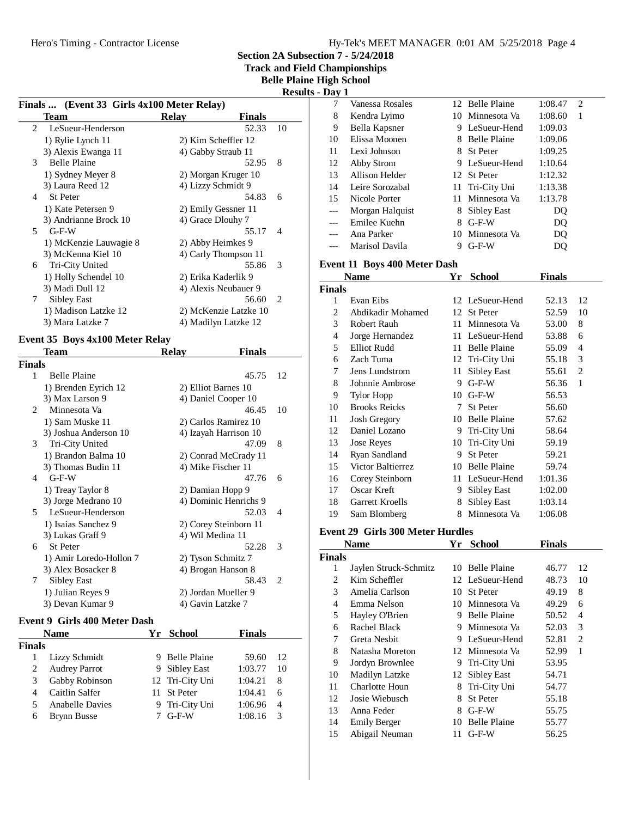**Track and Field Championships**

**Belle Plaine High School**

**Results - Day 1**

| Finals  (Event 33 Girls 4x100 Meter Relay) |                                 |       |                       |    |
|--------------------------------------------|---------------------------------|-------|-----------------------|----|
|                                            | Team                            | Relay | <b>Finals</b>         |    |
| 2                                          | LeSueur-Henderson               |       | 52.33                 | 10 |
|                                            | 1) Rylie Lynch 11               |       | 2) Kim Scheffler 12   |    |
|                                            | 3) Alexis Ewanga 11             |       | 4) Gabby Straub 11    |    |
| 3                                          | <b>Belle Plaine</b>             |       | 52.95                 | 8  |
|                                            | 1) Sydney Meyer 8               |       | 2) Morgan Kruger 10   |    |
|                                            | 3) Laura Reed 12                |       | 4) Lizzy Schmidt 9    |    |
| 4                                          | <b>St Peter</b>                 |       | 54.83                 | 6  |
|                                            | 1) Kate Petersen 9              |       | 2) Emily Gessner 11   |    |
|                                            | 3) Andrianne Brock 10           |       | 4) Grace Dlouhy 7     |    |
| 5                                          | $G-F-W$                         |       | 55.17                 | 4  |
|                                            | 1) McKenzie Lauwagie 8          |       | 2) Abby Heimkes 9     |    |
|                                            | 3) McKenna Kiel 10              |       | 4) Carly Thompson 11  |    |
| 6                                          | Tri-City United                 |       | 55.86                 | 3  |
|                                            | 1) Holly Schendel 10            |       | 2) Erika Kaderlik 9   |    |
|                                            | 3) Madi Dull 12                 |       | 4) Alexis Neubauer 9  |    |
| 7                                          | Sibley East                     |       | 56.60                 | 2  |
|                                            | 1) Madison Latzke 12            |       | 2) McKenzie Latzke 10 |    |
|                                            | 3) Mara Latzke 7                |       | 4) Madilyn Latzke 12  |    |
|                                            | Event 35 Boys 4x100 Meter Relay |       |                       |    |
|                                            | Team                            | Relav | <b>Finals</b>         |    |

| 172.a de a     |                                     |    |                     |                       |                |
|----------------|-------------------------------------|----|---------------------|-----------------------|----------------|
|                | <b>Name</b>                         | Yr | School              | Finals                |                |
|                | <b>Event 9 Girls 400 Meter Dash</b> |    |                     |                       |                |
|                | 3) Devan Kumar 9                    |    | 4) Gavin Latzke 7   |                       |                |
|                | 1) Julian Reyes 9                   |    |                     | 2) Jordan Mueller 9   |                |
| 7              | Sibley East                         |    |                     | 58.43                 | 2              |
|                | 3) Alex Bosacker 8                  |    |                     | 4) Brogan Hanson 8    |                |
|                | 1) Amir Loredo-Hollon 7             |    | 2) Tyson Schmitz 7  |                       |                |
| 6              | <b>St Peter</b>                     |    |                     | 52.28                 | 3              |
|                | 3) Lukas Graff 9                    |    | 4) Wil Medina 11    |                       |                |
|                | 1) Isaias Sanchez 9                 |    |                     | 2) Corey Steinborn 11 |                |
| 5              | LeSueur-Henderson                   |    |                     | 52.03                 | $\overline{4}$ |
|                | 3) Jorge Medrano 10                 |    |                     | 4) Dominic Henrichs 9 |                |
|                | 1) Treay Taylor 8                   |    | 2) Damian Hopp 9    |                       |                |
| 4              | $G-F-W$                             |    |                     | 47.76                 | 6              |
|                | 3) Thomas Budin 11                  |    | 4) Mike Fischer 11  |                       |                |
|                | 1) Brandon Balma 10                 |    |                     | 2) Conrad McCrady 11  |                |
| 3              | Tri-City United                     |    |                     | 47.09                 | 8              |
|                | 3) Joshua Anderson 10               |    |                     | 4) Izayah Harrison 10 |                |
|                | 1) Sam Muske 11                     |    |                     | 2) Carlos Ramirez 10  |                |
| $\mathfrak{D}$ | Minnesota Va                        |    |                     | 46.45                 | 10             |
|                | 3) Max Larson 9                     |    |                     | 4) Daniel Cooper 10   |                |
|                | 1) Brenden Eyrich 12                |    | 2) Elliot Barnes 10 |                       |                |
| $\mathbf{1}$   | <b>Belle Plaine</b>                 |    |                     | 45.75                 | 12             |
| Finals         |                                     |    |                     |                       |                |
|                |                                     |    |                     |                       |                |

|               | rame                   | . . | ochool          | т шагэ  |                |  |
|---------------|------------------------|-----|-----------------|---------|----------------|--|
| <b>Finals</b> |                        |     |                 |         |                |  |
|               | Lizzy Schmidt          |     | 9 Belle Plaine  | 59.60   | 12             |  |
| 2             | <b>Audrey Parrot</b>   |     | 9 Sibley East   | 1:03.77 | 10             |  |
| 3             | Gabby Robinson         |     | 12 Tri-City Uni | 1:04.21 | 8              |  |
| 4             | Caitlin Salfer         |     | 11 St Peter     | 1:04.41 | 6              |  |
| 5.            | <b>Anabelle Davies</b> |     | 9 Tri-City Uni  | 1:06.96 | $\overline{4}$ |  |
| 6             | <b>Brynn Busse</b>     |     | $7$ G-F-W       | 1:08.16 | $\mathcal{R}$  |  |
|               |                        |     |                 |         |                |  |

| Day 1          |                                         |    |                    |               |                |
|----------------|-----------------------------------------|----|--------------------|---------------|----------------|
| 7              | Vanessa Rosales                         |    | 12 Belle Plaine    | 1:08.47       | $\overline{c}$ |
| 8              | Kendra Lyimo                            |    | 10 Minnesota Va    | 1:08.60       | 1              |
| 9              | Bella Kapsner                           |    | 9 LeSueur-Hend     | 1:09.03       |                |
| 10             | Elissa Moonen                           |    | 8 Belle Plaine     | 1:09.06       |                |
| 11             | Lexi Johnson                            |    | 8 St Peter         | 1:09.25       |                |
| 12             | Abby Strom                              |    | 9 LeSueur-Hend     | 1:10.64       |                |
| 13             | Allison Helder                          |    | 12 St Peter        | 1:12.32       |                |
| 14             | Leire Sorozabal                         |    | 11 Tri-City Uni    | 1:13.38       |                |
| 15             | Nicole Porter                           |    | 11 Minnesota Va    | 1:13.78       |                |
| ---            | Morgan Halquist                         |    | 8 Sibley East      | DQ            |                |
| ---            | Emilee Kuehn                            |    | 8 G-F-W            | DQ            |                |
| ---            | Ana Parker                              |    | 10 Minnesota Va    | DQ            |                |
| ---            | Marisol Davila                          |    | 9 G-F-W            | DQ            |                |
|                | <b>Event 11 Boys 400 Meter Dash</b>     |    |                    |               |                |
|                | <b>Name</b>                             | Yr | School             | Finals        |                |
| <b>Finals</b>  |                                         |    |                    |               |                |
| 1              | Evan Eibs                               |    | 12 LeSueur-Hend    | 52.13         | 12             |
| $\mathbf{2}$   | Abdikadir Mohamed                       |    | 12 St Peter        | 52.59         | 10             |
| 3              | Robert Rauh                             |    | 11 Minnesota Va    | 53.00         | 8              |
| 4              | Jorge Hernandez                         |    | 11 LeSueur-Hend    | 53.88         | 6              |
| 5              | <b>Elliot Rudd</b>                      |    | 11 Belle Plaine    | 55.09         | 4              |
| 6              | Zach Tuma                               |    | 12 Tri-City Uni    | 55.18         | 3              |
| 7              | Jens Lundstrom                          | 11 | Sibley East        | 55.61         | 2              |
| 8              | Johnnie Ambrose                         |    | 9 G-F-W            | 56.36         | 1              |
| 9              | <b>Tylor Hopp</b>                       |    | $10$ G-F-W         | 56.53         |                |
| 10             | <b>Brooks Reicks</b>                    |    | 7 St Peter         | 56.60         |                |
| 11             | <b>Josh Gregory</b>                     |    | 10 Belle Plaine    | 57.62         |                |
| 12             | Daniel Lozano                           |    | 9 Tri-City Uni     | 58.64         |                |
| 13             | <b>Jose Reyes</b>                       |    | 10 Tri-City Uni    | 59.19         |                |
| 14             | Ryan Sandland                           |    | 9 St Peter         | 59.21         |                |
| 15             | Victor Baltierrez                       |    | 10 Belle Plaine    | 59.74         |                |
| 16             | Corey Steinborn                         |    | 11 LeSueur-Hend    | 1:01.36       |                |
| 17             | <b>Oscar Kreft</b>                      |    | 9 Sibley East      | 1:02.00       |                |
| 18             | Garrett Kroells                         | 8  | <b>Sibley East</b> | 1:03.14       |                |
| 19             | Sam Blomberg                            |    | 8 Minnesota Va     | 1:06.08       |                |
|                | <b>Event 29 Girls 300 Meter Hurdles</b> |    |                    |               |                |
|                | <b>Name</b>                             |    | Yr School          | <b>Finals</b> |                |
| Finals         |                                         |    |                    |               |                |
| 1              | Jaylen Struck-Schmitz                   |    | 10 Belle Plaine    | 46.77         | 12             |
| $\mathbf{2}$   | Kim Scheffler                           |    | 12 LeSueur-Hend    | 48.73         | 10             |
| 3              | Amelia Carlson                          |    | 10 St Peter        | 49.19         | 8              |
| $\overline{4}$ | Emma Nelson                             |    | 10 Minnesota Va    | 49.29         | 6              |
| 5              | Hayley O'Brien                          |    | 9 Belle Plaine     | 50.52         | 4              |
| 6              | Rachel Black                            |    | 9 Minnesota Va     | 52.03         | 3              |
| 7              | Greta Nesbit                            |    | 9 LeSueur-Hend     | 52.81         | $\mathbf{2}$   |
| 8              | Natasha Moreton                         |    | 12 Minnesota Va    | 52.99         | 1              |
| 9              | Jordyn Brownlee                         |    | 9 Tri-City Uni     | 53.95         |                |
| 10             | Madilyn Latzke                          | 12 | Sibley East        | 54.71         |                |
| 11             | Charlotte Houn                          | 8  | Tri-City Uni       | 54.77         |                |
| 12             | Josie Wiebusch                          | 8  | St Peter           | 55.18         |                |
| 13             | Anna Feder                              | 8  | $G-F-W$            | 55.75         |                |

14 Emily Berger 10 Belle Plaine 55.77<br>15 Abigail Neuman 11 G-F-W 56.25 15 Abigail Neuman 11 G-F-W 56.25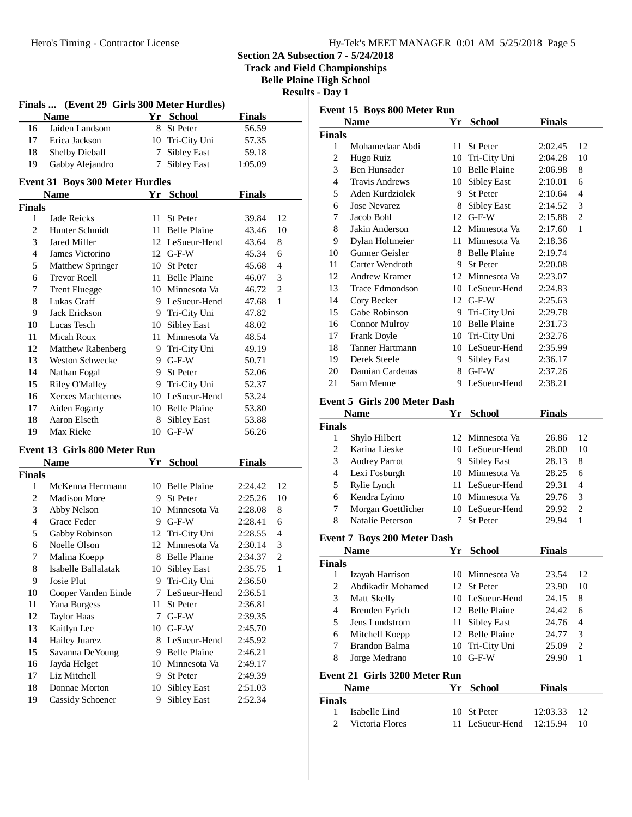| Hy-Tek's MEET MANAGER 0:01 AM 5/25/2018 Page 5 |  |  |  |
|------------------------------------------------|--|--|--|
|------------------------------------------------|--|--|--|

**Track and Field Championships**

**Belle Plaine High School**

| Results -<br>DAV |
|------------------|
|------------------|

| Finals  (Event 29 Girls 300 Meter Hurdles) |                                        |             |                             |               |                |
|--------------------------------------------|----------------------------------------|-------------|-----------------------------|---------------|----------------|
|                                            | <b>Name</b>                            |             | Yr School                   | <b>Finals</b> |                |
| 16                                         | Jaiden Landsom                         | 8           | St Peter                    | 56.59         |                |
| 17                                         | Erica Jackson                          |             | 10 Tri-City Uni             | 57.35         |                |
| 18                                         | <b>Shelby Dieball</b>                  | $7^{\circ}$ | Sibley East                 | 59.18         |                |
| 19                                         | Gabby Alejandro                        |             | 7 Sibley East               | 1:05.09       |                |
|                                            |                                        |             |                             |               |                |
|                                            | <b>Event 31 Boys 300 Meter Hurdles</b> |             |                             |               |                |
|                                            | <b>Name</b>                            | Yr          | <b>School</b>               | <b>Finals</b> |                |
| <b>Finals</b>                              |                                        |             |                             |               |                |
| 1                                          | Jade Reicks                            | 11 -        | St Peter                    | 39.84         | 12             |
| 2                                          | Hunter Schmidt                         |             | 11 Belle Plaine             | 43.46         | 10             |
| 3                                          | Jared Miller                           |             | 12 LeSueur-Hend             | 43.64         | 8              |
| 4                                          | James Victorino                        |             | $12$ G-F-W                  | 45.34         | 6              |
| 5                                          | Matthew Springer                       |             | 10 St Peter                 | 45.68         | $\overline{4}$ |
| 6                                          | <b>Trevor Roell</b>                    |             | 11 Belle Plaine             | 46.07         | 3              |
| 7                                          | <b>Trent Fluegge</b>                   |             | 10 Minnesota Va             | 46.72         | 2              |
| 8                                          | Lukas Graff                            |             | 9 LeSueur-Hend              | 47.68         | 1              |
| 9                                          | Jack Erickson                          |             | 9 Tri-City Uni              | 47.82         |                |
| 10                                         | Lucas Tesch                            |             | 10 Sibley East              | 48.02         |                |
| 11                                         | Micah Roux                             |             | 11 Minnesota Va             | 48.54         |                |
| 12                                         | <b>Matthew Rabenberg</b>               |             | 9 Tri-City Uni              | 49.19         |                |
| 13                                         | Weston Schwecke                        |             | 9 G-F-W                     | 50.71         |                |
| 14                                         | Nathan Fogal                           |             | 9 St Peter                  | 52.06         |                |
| 15                                         | <b>Riley O'Malley</b>                  |             | 9 Tri-City Uni              | 52.37         |                |
| 16                                         | Xerxes Machtemes                       |             | 10 LeSueur-Hend             | 53.24         |                |
| 17                                         | Aiden Fogarty                          |             | 10 Belle Plaine             | 53.80         |                |
| 18                                         | Aaron Elseth                           | 8           | Sibley East                 | 53.88         |                |
| 19                                         | Max Rieke                              | 10          | $G-F-W$                     | 56.26         |                |
|                                            | <b>Event 13 Girls 800 Meter Run</b>    |             |                             |               |                |
|                                            | <b>Name</b>                            |             | Yr School                   | <b>Finals</b> |                |
| <b>Finals</b>                              |                                        |             |                             |               |                |
| 1                                          | McKenna Herrmann                       |             | 10 Belle Plaine             | 2:24.42       | 12             |
| 2                                          | <b>Madison More</b>                    |             | 9 St Peter                  | 2:25.26       | 10             |
| 3                                          | Abby Nelson                            |             | 10 Minnesota Va             | 2:28.08       | 8              |
| 4                                          | Grace Feder                            |             | 9 G-F-W                     | 2:28.41       | 6              |
| 5                                          | Gabby Robinson                         |             | 12 Tri-City Uni             | 2:28.55       | 4              |
| 6                                          | Noelle Olson                           |             | 12 Minnesota Va             | 2:30.14       | 3              |
| 7                                          | Malina Koepp                           |             | 8 Belle Plaine              | 2:34.37       | $\overline{2}$ |
| 8                                          | Isabelle Ballalatak                    |             | 10 Sibley East              | 2:35.75       | 1              |
| 9                                          | Josie Plut                             | 9           | Tri-City Uni                | 2:36.50       |                |
| 10                                         | Cooper Vanden Einde                    | 7           | LeSueur-Hend                | 2:36.51       |                |
| 11                                         | Yana Burgess                           | 11          | St Peter                    | 2:36.81       |                |
| 12                                         | <b>Taylor Haas</b>                     | 7           | $G-F-W$                     | 2:39.35       |                |
| 13                                         | Kaitlyn Lee                            | 10          | $$\rm G\text{-}F\text{-}W$$ | 2:45.70       |                |
| 14                                         | Hailey Juarez                          | 8           | LeSueur-Hend                | 2:45.92       |                |
| 15                                         | Savanna De Young                       |             | 9 Belle Plaine              | 2:46.21       |                |
| 16                                         | Jayda Helget                           |             | 10 Minnesota Va             | 2:49.17       |                |
| 17                                         | Liz Mitchell                           | 9.          | St Peter                    | 2:49.39       |                |
| 18                                         | Donnae Morton                          |             | 10 Sibley East              | 2:51.03       |                |
| 19                                         | Cassidy Schoener                       | 9           | <b>Sibley East</b>          | 2:52.34       |                |
|                                            |                                        |             |                             |               |                |

| Event 15 Boys 800 Meter Run                         |                                     |    |                     |               |                |  |
|-----------------------------------------------------|-------------------------------------|----|---------------------|---------------|----------------|--|
|                                                     | Name                                |    | Yr School           | <b>Finals</b> |                |  |
| <b>Finals</b>                                       |                                     |    |                     |               |                |  |
| 1                                                   | Mohamedaar Abdi                     | 11 | <b>St Peter</b>     | 2:02.45       | 12             |  |
| 2                                                   | Hugo Ruiz                           |    | 10 Tri-City Uni     | 2:04.28       | 10             |  |
| 3                                                   | Ben Hunsader                        |    | 10 Belle Plaine     | 2:06.98       | 8              |  |
| 4                                                   | <b>Travis Andrews</b>               |    | 10 Sibley East      | 2:10.01       | 6              |  |
| 5                                                   | Aden Kurdziolek                     |    | 9 St Peter          | 2:10.64       | 4              |  |
| 6                                                   | <b>Jose Nevarez</b>                 |    | 8 Sibley East       | 2:14.52       | 3              |  |
| 7                                                   | Jacob Bohl                          |    | 12 G-F-W            | 2:15.88       | $\mathbf{2}$   |  |
| 8                                                   | Jakin Anderson                      |    | 12 Minnesota Va     | 2:17.60       | 1              |  |
| 9                                                   | Dylan Holtmeier                     |    | 11 Minnesota Va     | 2:18.36       |                |  |
| 10                                                  | Gunner Geisler                      |    | 8 Belle Plaine      | 2:19.74       |                |  |
| 11                                                  | Carter Wendroth                     |    | 9 St Peter          | 2:20.08       |                |  |
| 12                                                  | Andrew Kramer                       |    | 12 Minnesota Va     | 2:23.07       |                |  |
| 13                                                  | Trace Edmondson                     |    | 10 LeSueur-Hend     | 2:24.83       |                |  |
| 14                                                  | Cory Becker                         |    | 12 G-F-W            | 2:25.63       |                |  |
| 15                                                  | Gabe Robinson                       |    | 9 Tri-City Uni      | 2:29.78       |                |  |
| 16                                                  | <b>Connor Mulroy</b>                |    | 10 Belle Plaine     | 2:31.73       |                |  |
| 17                                                  | Frank Doyle                         |    | 10 Tri-City Uni     | 2:32.76       |                |  |
| 18                                                  | Tanner Hartmann                     |    | 10 LeSueur-Hend     | 2:35.99       |                |  |
| 19                                                  | Derek Steele                        |    | 9 Sibley East       | 2:36.17       |                |  |
| 20                                                  | Damian Cardenas                     |    | 8 G-F-W             | 2:37.26       |                |  |
| 21                                                  | Sam Menne                           | 9  | LeSueur-Hend        | 2:38.21       |                |  |
|                                                     |                                     |    |                     |               |                |  |
|                                                     | <b>Event 5 Girls 200 Meter Dash</b> |    |                     |               |                |  |
| <b>Finals</b><br>Yr<br><b>School</b><br><b>Name</b> |                                     |    |                     |               |                |  |
| <b>Finals</b>                                       |                                     |    |                     |               |                |  |
| 1                                                   | Shylo Hilbert                       |    | 12 Minnesota Va     | 26.86         | 12             |  |
| 2                                                   | Karina Lieske                       |    | 10 LeSueur-Hend     | 28.00         | 10             |  |
| 3                                                   | <b>Audrey Parrot</b>                |    | 9 Sibley East       | 28.13         | 8              |  |
| 4                                                   | Lexi Fosburgh                       |    | 10 Minnesota Va     | 28.25         | 6              |  |
| 5                                                   | Rylie Lynch                         |    | 11 LeSueur-Hend     | 29.31         | 4              |  |
| 6                                                   | Kendra Lyimo                        |    | 10 Minnesota Va     | 29.76         | 3              |  |
| 7                                                   | Morgan Goettlicher                  |    | 10 LeSueur-Hend     | 29.92         | $\overline{c}$ |  |
| 8                                                   | Natalie Peterson                    | 7  | <b>St Peter</b>     | 29.94         | 1              |  |
|                                                     | <b>Event 7 Boys 200 Meter Dash</b>  |    |                     |               |                |  |
|                                                     | <b>Name</b>                         |    | Yr School           | <b>Finals</b> |                |  |
| <b>Finals</b>                                       |                                     |    |                     |               |                |  |
| 1                                                   | Izayah Harrison                     |    | 10 Minnesota Va     | 23.54         | 12             |  |
| 2                                                   | Abdikadir Mohamed                   |    | 12 St Peter         | 23.90         | 10             |  |
| 3                                                   | Matt Skelly                         |    | 10 LeSueur-Hend     | 24.15         | 8              |  |
| 4                                                   | <b>Brenden Eyrich</b>               |    | 12 Belle Plaine     | 24.42         | 6              |  |
| 5                                                   | Jens Lundstrom                      | 11 | Sibley East         | 24.76         | 4              |  |
| 6                                                   | Mitchell Koepp                      | 12 | <b>Belle Plaine</b> | 24.77         | 3              |  |
| 7                                                   | Brandon Balma                       |    | 10 Tri-City Uni     | 25.09         | 2              |  |
| 8                                                   | Jorge Medrano                       | 10 | $G-F-W$             | 29.90         | 1              |  |
|                                                     |                                     |    |                     |               |                |  |
|                                                     | Event 21 Girls 3200 Meter Run       |    |                     |               |                |  |
|                                                     | <b>Name</b>                         | Yr | <b>School</b>       | <b>Finals</b> |                |  |
| <b>Finals</b>                                       |                                     |    |                     |               |                |  |
| 1                                                   | Isabelle Lind                       |    | 10 St Peter         | 12:03.33      | 12             |  |
| 2                                                   | Victoria Flores                     | 11 | LeSueur-Hend        | 12:15.94      | 10             |  |
|                                                     |                                     |    |                     |               |                |  |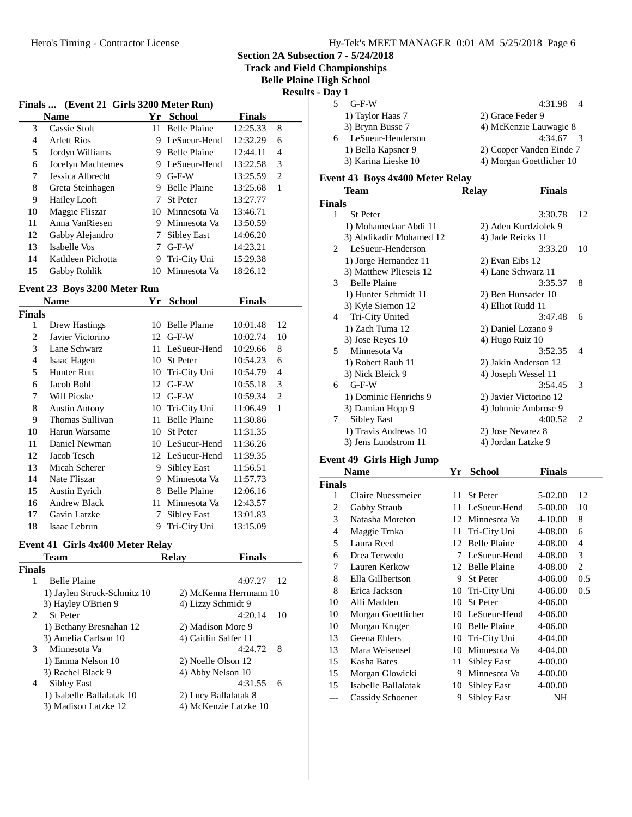**Track and Field Championships**

**Belle Plaine High School**

**Results - Day 1**

|    |                                         |               |                     |               | Kesu |
|----|-----------------------------------------|---------------|---------------------|---------------|------|
|    | Finals  (Event 21 Girls 3200 Meter Run) |               |                     |               |      |
|    | <b>Name</b>                             | Yr            | School              | <b>Finals</b> |      |
| 3  | Cassie Stolt                            | 11.           | <b>Belle Plaine</b> | 12:25.33      | 8    |
| 4  | <b>Arlett Rios</b>                      | 9             | LeSueur-Hend        | 12:32.29      | 6    |
| 5  | Jordyn Williams                         | 9             | <b>Belle Plaine</b> | 12:44.11      | 4    |
| 6  | Jocelyn Machtemes                       | 9.            | LeSueur-Hend        | 13:22.58      | 3    |
| 7  | Jessica Albrecht                        | 9             | $G-F-W$             | 13:25.59      | 2    |
| 8  | Greta Steinhagen                        | 9             | <b>Belle Plaine</b> | 13:25.68      | 1    |
| 9  | <b>Hailey Looft</b>                     | 7             | <b>St Peter</b>     | 13:27.77      |      |
| 10 | Maggie Fliszar                          | 10            | Minnesota Va        | 13:46.71      |      |
| 11 | Anna VanRiesen                          | 9             | Minnesota Va        | 13:50.59      |      |
| 12 | Gabby Alejandro                         | $\frac{1}{2}$ | Sibley East         | 14:06.20      |      |
| 13 | Isabelle Vos                            |               | $G-F-W$             | 14:23.21      |      |
| 14 | Kathleen Pichotta                       | 9             | Tri-City Uni        | 15:29.38      |      |
| 15 | Gabby Rohlik                            | 10            | Minnesota Va        | 18:26.12      |      |
|    |                                         |               |                     |               |      |

## **Event 23 Boys 3200 Meter Run**

|                | Name                 | Yr | School              | Finals   |    |
|----------------|----------------------|----|---------------------|----------|----|
| <b>Finals</b>  |                      |    |                     |          |    |
| 1              | Drew Hastings        | 10 | <b>Belle Plaine</b> | 10:01.48 | 12 |
| $\overline{c}$ | Javier Victorino     | 12 | $G-F-W$             | 10:02.74 | 10 |
| 3              | Lane Schwarz         | 11 | LeSueur-Hend        | 10:29.66 | 8  |
| 4              | Isaac Hagen          | 10 | St Peter            | 10:54.23 | 6  |
| 5              | <b>Hunter Rutt</b>   | 10 | Tri-City Uni        | 10:54.79 | 4  |
| 6              | Jacob Bohl           | 12 | $G-F-W$             | 10:55.18 | 3  |
| 7              | Will Pioske          | 12 | $G-F-W$             | 10:59.34 | 2  |
| 8              | <b>Austin Antony</b> | 10 | Tri-City Uni        | 11:06.49 | 1  |
| 9              | Thomas Sullivan      | 11 | <b>Belle Plaine</b> | 11:30.86 |    |
| 10             | Harun Warsame        | 10 | <b>St Peter</b>     | 11:31.35 |    |
| 11             | Daniel Newman        | 10 | LeSueur-Hend        | 11:36.26 |    |
| 12             | Jacob Tesch          |    | 12 LeSueur-Hend     | 11:39.35 |    |
| 13             | Micah Scherer        | 9  | Sibley East         | 11:56.51 |    |
| 14             | Nate Fliszar         | 9  | Minnesota Va        | 11:57.73 |    |
| 15             | <b>Austin Eyrich</b> | 8  | <b>Belle Plaine</b> | 12:06.16 |    |
| 16             | <b>Andrew Black</b>  | 11 | Minnesota Va        | 12:43.57 |    |
| 17             | Gavin Latzke         | 7  | Sibley East         | 13:01.83 |    |
| 18             | Isaac Lebrun         | 9  | Tri-City Uni        | 13:15.09 |    |

# **Event 41 Girls 4x400 Meter Relay**

| Team                        | <b>Relav</b> | <b>Finals</b> |                                                                                                                                                                                       |
|-----------------------------|--------------|---------------|---------------------------------------------------------------------------------------------------------------------------------------------------------------------------------------|
| <b>Finals</b>               |              |               |                                                                                                                                                                                       |
| <b>Belle Plaine</b>         |              | 4:07.27       | 12                                                                                                                                                                                    |
| 1) Jaylen Struck-Schmitz 10 |              |               |                                                                                                                                                                                       |
| 3) Hayley O'Brien 9         |              |               |                                                                                                                                                                                       |
| 2<br><b>St</b> Peter        |              | 4:20.14       | 10                                                                                                                                                                                    |
| 1) Bethany Bresnahan 12     |              |               |                                                                                                                                                                                       |
| 3) Amelia Carlson 10        |              |               |                                                                                                                                                                                       |
| Minnesota Va<br>3           |              | 4:24.72       | -8                                                                                                                                                                                    |
| 1) Emma Nelson 10           |              |               |                                                                                                                                                                                       |
| 3) Rachel Black 9           |              |               |                                                                                                                                                                                       |
| Sibley East                 |              | 4:31.55       | 6                                                                                                                                                                                     |
| 1) Isabelle Ballalatak 10   |              |               |                                                                                                                                                                                       |
| 3) Madison Latzke 12        |              |               |                                                                                                                                                                                       |
|                             |              |               | 2) McKenna Herrmann 10<br>4) Lizzy Schmidt 9<br>2) Madison More 9<br>4) Caitlin Salfer 11<br>2) Noelle Olson 12<br>4) Abby Nelson 10<br>2) Lucy Ballalatak 8<br>4) McKenzie Latzke 10 |

| 'av 1 |                     |                          |
|-------|---------------------|--------------------------|
|       | $G-F-W$             | 4:31.98 4                |
|       | 1) Taylor Haas 7    | 2) Grace Feder 9         |
|       | 3) Brynn Busse 7    | 4) McKenzie Lauwagie 8   |
| 6     | LeSueur-Henderson   | $4:34.67$ 3              |
|       | 1) Bella Kapsner 9  | 2) Cooper Vanden Einde 7 |
|       | 3) Karina Lieske 10 | 4) Morgan Goettlicher 10 |
|       |                     |                          |

## **Event 43 Boys 4x400 Meter Relay**

|                | Team                    | <b>Relay</b>      | <b>Finals</b>          |                          |
|----------------|-------------------------|-------------------|------------------------|--------------------------|
| <b>Finals</b>  |                         |                   |                        |                          |
| 1              | <b>St Peter</b>         |                   | 3:30.78                | 12                       |
|                | 1) Mohamedaar Abdi 11   |                   | 2) Aden Kurdziolek 9   |                          |
|                | 3) Abdikadir Mohamed 12 |                   | 4) Jade Reicks 11      |                          |
| $\mathfrak{D}$ | LeSueur-Henderson       |                   | 3:33.20                | 10                       |
|                | 1) Jorge Hernandez 11   | 2) Evan Eibs 12   |                        |                          |
|                | 3) Matthew Plieseis 12  |                   | 4) Lane Schwarz 11     |                          |
| 3              | <b>Belle Plaine</b>     |                   | 3:35.37                | 8                        |
|                | 1) Hunter Schmidt 11    |                   | 2) Ben Hunsader 10     |                          |
|                | 3) Kyle Siemon 12       | 4) Elliot Rudd 11 |                        |                          |
| 4              | Tri-City United         |                   | 3:47.48                | 6                        |
|                | 1) Zach Tuma 12         |                   | 2) Daniel Lozano 9     |                          |
|                | 3) Jose Reyes 10        | 4) Hugo Ruiz 10   |                        |                          |
| 5              | Minnesota Va            |                   | 3:52.35                | $\overline{\mathcal{A}}$ |
|                | 1) Robert Rauh 11       |                   | 2) Jakin Anderson 12   |                          |
|                | 3) Nick Bleick 9        |                   | 4) Joseph Wessel 11    |                          |
| 6              | $G-F-W$                 |                   | 3:54.45                | 3                        |
|                | 1) Dominic Henrichs 9   |                   | 2) Javier Victorino 12 |                          |
|                | 3) Damian Hopp 9        |                   | 4) Johnnie Ambrose 9   |                          |
| 7              | Sibley East             |                   | 4:00.52                | 2                        |
|                | 1) Travis Andrews 10    |                   | 2) Jose Nevarez 8      |                          |
|                | 3) Jens Lundstrom 11    |                   | 4) Jordan Latzke 9     |                          |
|                |                         |                   |                        |                          |

## **Event 49 Girls High Jump**

| <b>Name</b><br>Yr |                     | <b>School</b> | Finals              |         |     |
|-------------------|---------------------|---------------|---------------------|---------|-----|
| <b>Finals</b>     |                     |               |                     |         |     |
| 1                 | Claire Nuessmeier   | 11            | <b>St Peter</b>     | 5-02.00 | 12  |
| $\overline{c}$    | Gabby Straub        | 11            | LeSueur-Hend        | 5-00.00 | 10  |
| 3                 | Natasha Moreton     | 12            | Minnesota Va        | 4-10.00 | 8   |
| 4                 | Maggie Trnka        | 11            | Tri-City Uni        | 4-08.00 | 6   |
| 5                 | Laura Reed          | 12            | <b>Belle Plaine</b> | 4-08.00 | 4   |
| 6                 | Drea Terwedo        | 7             | LeSueur-Hend        | 4-08.00 | 3   |
| 7                 | Lauren Kerkow       |               | 12 Belle Plaine     | 4-08.00 | 2   |
| 8                 | Ella Gillbertson    | 9             | <b>St Peter</b>     | 4-06.00 | 0.5 |
| 8                 | Erica Jackson       | 10            | Tri-City Uni        | 4-06.00 | 0.5 |
| 10                | Alli Madden         | 10            | <b>St Peter</b>     | 4-06.00 |     |
| 10                | Morgan Goettlicher  | 10            | LeSueur-Hend        | 4-06.00 |     |
| 10                | Morgan Kruger       | 10            | <b>Belle Plaine</b> | 4-06.00 |     |
| 13                | Geena Ehlers        | 10            | Tri-City Uni        | 4-04.00 |     |
| 13                | Mara Weisensel      | 10            | Minnesota Va        | 4-04.00 |     |
| 15                | Kasha Bates         | 11            | Sibley East         | 4-00.00 |     |
| 15                | Morgan Glowicki     | 9             | Minnesota Va        | 4-00.00 |     |
| 15                | Isabelle Ballalatak | 10            | Sibley East         | 4-00.00 |     |
|                   | Cassidy Schoener    | 9             | <b>Sibley East</b>  | NΗ      |     |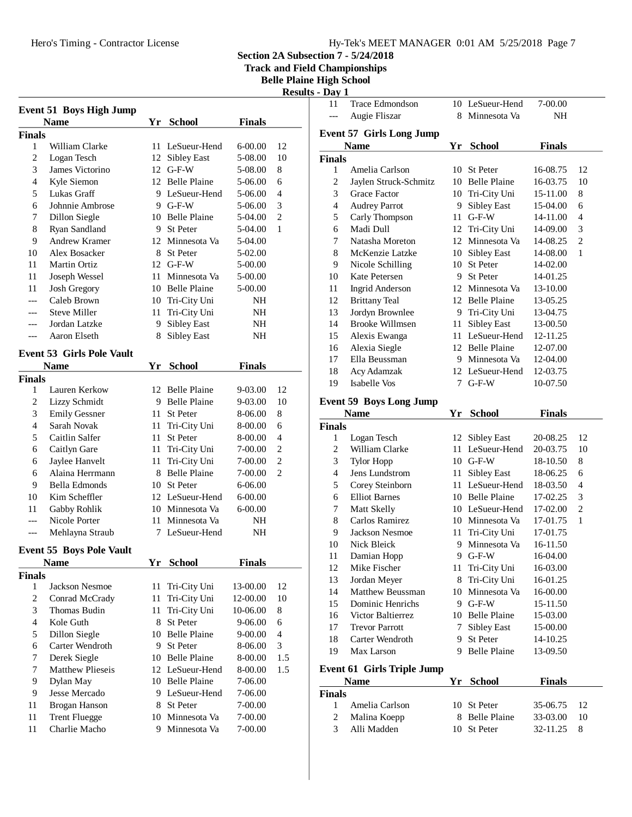**Section 2A Subsection 7 - 5/24/2018**

**Track and Field Championships**

**Belle Plaine High School**

| Results - | Dav |  |
|-----------|-----|--|
|-----------|-----|--|

|                    | <b>Event 51 Boys High Jump</b>      |     |                                     |               |                                  |
|--------------------|-------------------------------------|-----|-------------------------------------|---------------|----------------------------------|
|                    | <b>Name</b>                         | Yr  | School                              | <b>Finals</b> |                                  |
| <b>Finals</b>      |                                     |     |                                     |               |                                  |
| 1                  | William Clarke                      |     | 11 LeSueur-Hend                     | 6-00.00       | 12                               |
| 2                  | Logan Tesch                         |     | 12 Sibley East                      | 5-08.00       | 10                               |
| 3                  | James Victorino                     |     | 12 G-F-W                            | 5-08.00       | 8                                |
| 4                  | Kyle Siemon                         |     | 12 Belle Plaine                     | 5-06.00       | 6                                |
| 5                  | Lukas Graff                         |     | 9 LeSueur-Hend                      | 5-06.00       | 4                                |
| 6                  | Johnnie Ambrose                     |     | 9 G-F-W                             | 5-06.00       | 3                                |
| 7                  | Dillon Siegle                       |     | 10 Belle Plaine                     | 5-04.00       | $\overline{2}$                   |
| 8                  | Ryan Sandland                       |     | 9 St Peter                          | 5-04.00       | 1                                |
| 9                  | Andrew Kramer                       |     | 12 Minnesota Va                     | 5-04.00       |                                  |
| 10                 | Alex Bosacker                       |     | 8 St Peter                          | 5-02.00       |                                  |
| 11                 | <b>Martin Ortiz</b>                 |     | 12 G-F-W                            | 5-00.00       |                                  |
| 11                 | Joseph Wessel                       |     | 11 Minnesota Va                     | 5-00.00       |                                  |
| 11                 | <b>Josh Gregory</b>                 |     | 10 Belle Plaine                     | 5-00.00       |                                  |
| ---                | Caleb Brown                         |     | 10 Tri-City Uni                     | NH            |                                  |
| ---                | <b>Steve Miller</b>                 | 11  | Tri-City Uni                        | NH            |                                  |
| ---                | Jordan Latzke                       | 9   | Sibley East                         | NH            |                                  |
| ---                | Aaron Elseth                        | 8   | <b>Sibley East</b>                  | NH            |                                  |
|                    |                                     |     |                                     |               |                                  |
|                    | <b>Event 53 Girls Pole Vault</b>    |     |                                     |               |                                  |
|                    | <b>Name</b>                         | Yr  | <b>School</b>                       | <b>Finals</b> |                                  |
| <b>Finals</b><br>1 |                                     |     |                                     |               | 12                               |
|                    | Lauren Kerkow                       |     | 12 Belle Plaine<br>9 Belle Plaine   | 9-03.00       | 10                               |
| 2<br>3             | Lizzy Schmidt                       |     |                                     | 9-03.00       | 8                                |
| $\overline{4}$     | <b>Emily Gessner</b><br>Sarah Novak |     | 11 St Peter                         | 8-06.00       | 6                                |
| 5                  | Caitlin Salfer                      |     | 11 Tri-City Uni                     | 8-00.00       | $\overline{4}$                   |
| 6                  |                                     |     | 11 St Peter                         | 8-00.00       | $\overline{c}$                   |
|                    | Caitlyn Gare                        |     | 11 Tri-City Uni                     | 7-00.00       |                                  |
| 6                  | Jaylee Hanvelt<br>Alaina Herrmann   | 11  | Tri-City Uni<br><b>Belle Plaine</b> | 7-00.00       | $\mathfrak{2}$<br>$\overline{2}$ |
| 6                  |                                     | 8   |                                     | 7-00.00       |                                  |
| 9                  | <b>Bella Edmonds</b>                |     | 10 St Peter                         | 6-06.00       |                                  |
| 10                 | Kim Scheffler                       |     | 12 LeSueur-Hend                     | 6-00.00       |                                  |
| 11                 | Gabby Rohlik<br>Nicole Porter       |     | 10 Minnesota Va                     | 6-00.00       |                                  |
| ---                |                                     | 11- | Minnesota Va                        | NΗ            |                                  |
| ---                | Mehlayna Straub                     | 7   | LeSueur-Hend                        | NΗ            |                                  |
|                    | <b>Event 55 Boys Pole Vault</b>     |     |                                     |               |                                  |
|                    | <b>Name</b>                         | Yr  | <b>School</b>                       | <b>Finals</b> |                                  |
| <b>Finals</b>      |                                     |     |                                     |               |                                  |
| 1                  | Jackson Nesmoe                      | 11  | Tri-City Uni                        | 13-00.00      | 12                               |
| $\overline{c}$     | Conrad McCrady                      | 11  | Tri-City Uni                        | 12-00.00      | 10                               |
| 3                  | <b>Thomas Budin</b>                 | 11  | Tri-City Uni                        | 10-06.00      | 8                                |
| $\overline{4}$     | Kole Guth                           | 8   | St Peter                            | 9-06.00       | 6                                |
| 5                  | Dillon Siegle                       |     | 10 Belle Plaine                     | 9-00.00       | $\overline{4}$                   |
| 6                  | Carter Wendroth                     | 9   | St Peter                            | 8-06.00       | 3                                |
| 7                  | Derek Siegle                        |     | 10 Belle Plaine                     | 8-00.00       | 1.5                              |
| 7                  | <b>Matthew Plieseis</b>             |     | 12 LeSueur-Hend                     | 8-00.00       | 1.5                              |
| 9                  | Dylan May                           |     | 10 Belle Plaine                     | 7-06.00       |                                  |
| 9                  | Jesse Mercado                       |     | 9 LeSueur-Hend                      | 7-06.00       |                                  |
| 11                 | Brogan Hanson                       |     | 8 St Peter                          | 7-00.00       |                                  |
| 11                 | <b>Trent Fluegge</b>                |     | 10 Minnesota Va                     | 7-00.00       |                                  |
| 11                 | Charlie Macho                       | 9   | Minnesota Va                        | 7-00.00       |                                  |
|                    |                                     |     |                                     |               |                                  |

| Augie Fliszar<br>8 Minnesota Va<br>NH<br>$---$<br><b>Event 57 Girls Long Jump</b><br>Yr School<br><b>Finals</b><br><b>Name</b> | 7-00.00        |
|--------------------------------------------------------------------------------------------------------------------------------|----------------|
|                                                                                                                                |                |
|                                                                                                                                |                |
|                                                                                                                                |                |
|                                                                                                                                |                |
| Finals<br>Amelia Carlson<br>1<br>10 St Peter<br>16-08.75                                                                       | 12             |
| $\overline{c}$<br>Jaylen Struck-Schmitz<br>10 Belle Plaine<br>16-03.75                                                         | 10             |
| 3<br>Grace Factor<br>10 Tri-City Uni<br>15-11.00                                                                               | 8              |
| $\overline{4}$<br><b>Audrey Parrot</b><br>9<br>Sibley East<br>15-04.00                                                         | 6              |
| $G-F-W$<br>5<br>Carly Thompson<br>11<br>14-11.00                                                                               | 4              |
| Madi Dull<br>6<br>12 Tri-City Uni<br>14-09.00                                                                                  | 3              |
| 7<br>Natasha Moreton<br>12 Minnesota Va<br>14-08.25                                                                            | $\overline{c}$ |
| 8<br>McKenzie Latzke<br><b>Sibley East</b><br>10<br>14-08.00                                                                   | 1              |
| 9<br>St Peter<br>Nicole Schilling<br>10<br>14-02.00                                                                            |                |
| 10<br>9<br>St Peter<br>Kate Petersen<br>14-01.25                                                                               |                |
| 11<br><b>Ingrid Anderson</b><br>12 Minnesota Va<br>13-10.00                                                                    |                |
| <b>Brittany Teal</b><br>12<br>12 Belle Plaine<br>13-05.25                                                                      |                |
| 13<br>Jordyn Brownlee<br>9 Tri-City Uni<br>13-04.75                                                                            |                |
| <b>Brooke Willmsen</b><br>Sibley East<br>14<br>11<br>13-00.50                                                                  |                |
| 11 LeSueur-Hend<br>15<br>12-11.25<br>Alexis Ewanga                                                                             |                |
| 12 Belle Plaine<br>Alexia Siegle<br>12-07.00<br>16                                                                             |                |
| 17<br>Ella Beussman<br>9 Minnesota Va<br>12-04.00                                                                              |                |
| 18<br>12 LeSueur-Hend<br>Acy Adamzak<br>12-03.75                                                                               |                |
| Isabelle Vos<br>19<br>$G-F-W$<br>7<br>10-07.50                                                                                 |                |
|                                                                                                                                |                |
| <b>Event 59 Boys Long Jump</b>                                                                                                 |                |
| <b>Name</b><br><b>School</b><br><b>Finals</b><br>Yr                                                                            |                |
|                                                                                                                                |                |
| Finals                                                                                                                         |                |
| Logan Tesch<br>12<br><b>Sibley East</b><br>20-08.25<br>1                                                                       | 12             |
| $\mathfrak{2}$<br>William Clarke<br>LeSueur-Hend<br>11<br>20-03.75                                                             | 10             |
| 3<br>10 G-F-W<br><b>Tylor Hopp</b><br>18-10.50                                                                                 | 8              |
| $\overline{4}$<br>Jens Lundstrom<br><b>Sibley East</b><br>11<br>18-06.25                                                       | 6              |
| 5<br>11 LeSueur-Hend<br>Corey Steinborn<br>18-03.50                                                                            | 4              |
| 6<br><b>Elliot Barnes</b><br>10 Belle Plaine<br>17-02.25                                                                       | 3              |
| 7<br>Matt Skelly<br>10 LeSueur-Hend<br>17-02.00                                                                                | $\overline{c}$ |
| Carlos Ramirez<br>8<br>10 Minnesota Va<br>17-01.75                                                                             | 1              |
| 9<br>Jackson Nesmoe<br>Tri-City Uni<br>11<br>17-01.75                                                                          |                |
| 10<br>Nick Bleick<br>Minnesota Va<br>16-11.50<br>9.                                                                            |                |
| 11<br>9<br>$G-F-W$<br>16-04.00<br>Damian Hopp                                                                                  |                |
| 12<br>Tri-City Uni<br>Mike Fischer<br>16-03.00<br>11                                                                           |                |
| Tri-City Uni<br>13<br>8<br>Jordan Meyer<br>16-01.25                                                                            |                |
| 14<br>Matthew Beussman<br>Minnesota Va<br>10<br>16-00.00                                                                       |                |
| 15<br>Dominic Henrichs<br>9 G-F-W<br>15-11.50                                                                                  |                |
| Victor Baltierrez<br>10 Belle Plaine<br>16<br>15-03.00                                                                         |                |
| 17<br><b>Trevor Parrott</b><br><b>Sibley East</b><br>7<br>15-00.00                                                             |                |
| Carter Wendroth<br>9 St Peter<br>18<br>14-10.25                                                                                |                |
| 19<br>Max Larson<br>9 Belle Plaine<br>13-09.50                                                                                 |                |
| <b>Event 61 Girls Triple Jump</b>                                                                                              |                |
| <b>Finals</b><br>Name<br>Yr School                                                                                             |                |
| Finals                                                                                                                         |                |
| Amelia Carlson<br>St Peter<br>1<br>35-06.75<br>10                                                                              | 12             |
| $\overline{c}$<br>Malina Koepp<br><b>Belle Plaine</b><br>8<br>33-03.00<br>3<br>Alli Madden<br>St Peter<br>32-11.25             | 10<br>8        |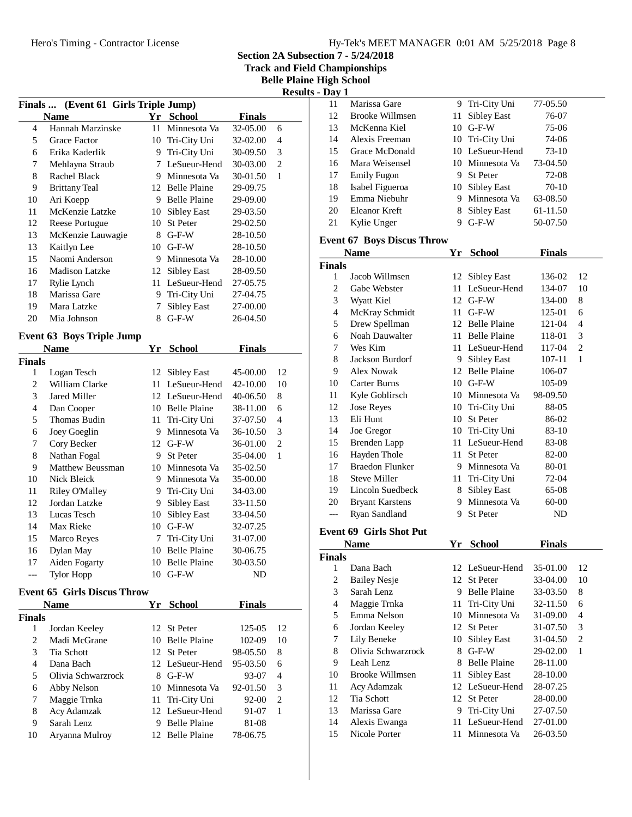| Hy-Tek's MEET MANAGER 0:01 AM 5/25/2018 Page 8 |  |  |  |
|------------------------------------------------|--|--|--|
|------------------------------------------------|--|--|--|

**Section 2A Subsection 7 - 5/24/2018**

**Track and Field Championships**

**Belle Plaine High School**

|                |                                      |    |                    |               |                | <b>Results - Day 1</b>  |
|----------------|--------------------------------------|----|--------------------|---------------|----------------|-------------------------|
|                | Finals  (Event 61 Girls Triple Jump) |    |                    |               |                | 11                      |
|                | <b>Name</b>                          |    | Yr School          | <b>Finals</b> |                | 12                      |
| 4              | Hannah Marzinske                     | 11 | Minnesota Va       | 32-05.00      | 6              | 13                      |
| 5              | Grace Factor                         |    | 10 Tri-City Uni    | 32-02.00      | $\overline{4}$ | 14                      |
| 6              | Erika Kaderlik                       | 9  | Tri-City Uni       | 30-09.50      | 3              | 15                      |
| 7              | Mehlayna Straub                      |    | 7 LeSueur-Hend     | 30-03.00      | $\overline{2}$ | 16                      |
| 8              | Rachel Black                         |    | 9 Minnesota Va     | 30-01.50      | 1              | 17                      |
| 9              | <b>Brittany Teal</b>                 |    | 12 Belle Plaine    | 29-09.75      |                | 18                      |
| 10             | Ari Koepp                            |    | 9 Belle Plaine     | 29-09.00      |                | 19                      |
| 11             | McKenzie Latzke                      |    | 10 Sibley East     | 29-03.50      |                | 20                      |
| 12             | Reese Portugue                       |    | 10 St Peter        | 29-02.50      |                | 21                      |
| 13             | McKenzie Lauwagie                    |    | 8 G-F-W            | 28-10.50      |                | <b>Event</b>            |
| 13             | Kaitlyn Lee                          |    | $10$ G-F-W         | 28-10.50      |                | N                       |
| 15             | Naomi Anderson                       |    | 9 Minnesota Va     | 28-10.00      |                | <b>Finals</b>           |
| 16             | <b>Madison Latzke</b>                |    | 12 Sibley East     | 28-09.50      |                | $\mathbf{1}$            |
| 17             | Rylie Lynch                          |    | 11 LeSueur-Hend    | 27-05.75      |                | $\overline{c}$          |
| 18             | Marissa Gare                         | 9  | Tri-City Uni       | 27-04.75      |                | 3                       |
| 19             | Mara Latzke                          | 7  | Sibley East        | 27-00.00      |                | $\overline{\mathbf{4}}$ |
| 20             | Mia Johnson                          |    | 8 G-F-W            | 26-04.50      |                | 5                       |
|                | <b>Event 63 Boys Triple Jump</b>     |    |                    |               |                | 6                       |
|                | <b>Name</b>                          | Yr | <b>School</b>      | <b>Finals</b> |                | 7                       |
| <b>Finals</b>  |                                      |    |                    |               |                | 8                       |
| 1              | Logan Tesch                          |    | 12 Sibley East     | 45-00.00      | 12             | 9                       |
| $\overline{c}$ | William Clarke                       |    | 11 LeSueur-Hend    | 42-10.00      | 10             | 10                      |
| 3              | Jared Miller                         |    | 12 LeSueur-Hend    | 40-06.50      | 8              | 11                      |
| $\overline{4}$ | Dan Cooper                           |    | 10 Belle Plaine    | 38-11.00      | 6              | 12                      |
| 5              | <b>Thomas Budin</b>                  | 11 | Tri-City Uni       | 37-07.50      | 4              | 13                      |
| 6              | Joey Goeglin                         | 9. | Minnesota Va       | 36-10.50      | 3              | 14                      |
| 7              | Cory Becker                          |    | 12 G-F-W           | 36-01.00      | $\overline{2}$ | 15                      |
| 8              | Nathan Fogal                         |    | 9 St Peter         | 35-04.00      | 1              | 16                      |
| 9              | Matthew Beussman                     |    | 10 Minnesota Va    | 35-02.50      |                | 17                      |
| 10             | Nick Bleick                          | 9. | Minnesota Va       | 35-00.00      |                | 18                      |
| 11             | <b>Riley O'Malley</b>                |    | 9 Tri-City Uni     | 34-03.00      |                | 19                      |
| 12             | Jordan Latzke                        | 9  | <b>Sibley East</b> | 33-11.50      |                | 20                      |
| 13             | Lucas Tesch                          |    | 10 Sibley East     | 33-04.50      |                | ---                     |
| 14             | Max Rieke                            |    | 10 G-F-W           | 32-07.25      |                | <b>Event</b>            |
| 15             | Marco Reyes                          | 7  | Tri-City Uni       | 31-07.00      |                |                         |
| 16             | Dylan May                            |    | 10 Belle Plaine    | 30-06.75      |                | Ŋ<br><b>Finals</b>      |
| 17             | Aiden Fogarty                        |    | 10 Belle Plaine    | 30-03.50      |                | 1                       |
| ---            | <b>Tylor Hopp</b>                    |    | 10 G-F-W           | ND            |                | $\overline{c}$          |
|                | <b>Event 65 Girls Discus Throw</b>   |    |                    |               |                | 3                       |
|                | <b>Name</b>                          |    | Yr School          | <b>Finals</b> |                | $\overline{4}$          |
| <b>Finals</b>  |                                      |    |                    |               |                | 5                       |
| 1              | Jordan Keeley                        |    | 12 St Peter        | 125-05        | 12             | 6                       |
| 2              | Madi McGrane                         |    | 10 Belle Plaine    | 102-09        | 10             | 7                       |
| 3              | Tia Schott                           |    | 12 St Peter        | 98-05.50      | 8              | 8                       |
| $\overline{4}$ | Dana Bach                            |    | 12 LeSueur-Hend    | 95-03.50      | 6              | 9                       |
| 5              | Olivia Schwarzrock                   |    | 8 G-F-W            | 93-07         | 4              | 10                      |
| 6              | Abby Nelson                          |    | 10 Minnesota Va    | 92-01.50      | 3              | 11                      |
| 7              | Maggie Trnka                         | 11 | Tri-City Uni       | 92-00         | 2              | 12                      |
| 8              | Acy Adamzak                          |    | 12 LeSueur-Hend    | 91-07         | 1              | 13                      |
| 9              | Sarah Lenz                           |    | 9 Belle Plaine     | 81-08         |                | 14                      |
| 10             | Aryanna Mulroy                       |    | 12 Belle Plaine    | 78-06.75      |                | 15                      |
|                |                                      |    |                    |               |                |                         |

| Day                 |                                   |    |                             |                      |                |
|---------------------|-----------------------------------|----|-----------------------------|----------------------|----------------|
| 11                  | Marissa Gare                      | 9  | Tri-City Uni                | 77-05.50             |                |
| 12                  | <b>Brooke Willmsen</b>            | 11 | <b>Sibley East</b>          | 76-07                |                |
| 13                  | McKenna Kiel                      | 10 | $G-F-W$                     | 75-06                |                |
| 14                  | Alexis Freeman                    |    | 10 Tri-City Uni             | 74-06                |                |
| 15                  | Grace McDonald                    |    | 10 LeSueur-Hend             | 73-10                |                |
| 16                  | Mara Weisensel                    |    | 10 Minnesota Va             | 73-04.50             |                |
| 17                  | <b>Emily Fugon</b>                |    | 9 St Peter                  | 72-08                |                |
| 18                  | Isabel Figueroa                   |    | 10 Sibley East              | 70-10                |                |
| 19                  | Emma Niebuhr                      |    | 9 Minnesota Va              | 63-08.50             |                |
| 20                  | Eleanor Kreft                     |    | 8 Sibley East               | 61-11.50             |                |
| 21                  | Kylie Unger                       |    | 9 G-F-W                     | 50-07.50             |                |
|                     |                                   |    |                             |                      |                |
|                     | <b>Event 67 Boys Discus Throw</b> |    |                             |                      |                |
|                     | <b>Name</b>                       | Yr | <b>School</b>               | <b>Finals</b>        |                |
| <b>Finals</b>       |                                   |    |                             |                      |                |
| 1                   | Jacob Willmsen                    | 12 | <b>Sibley East</b>          | 136-02               | 12             |
| $\mathfrak{2}$      | Gabe Webster                      | 11 | LeSueur-Hend                | 134-07               | 10             |
| 3                   | Wyatt Kiel                        |    | 12 G-F-W                    | 134-00               | 8              |
| $\overline{4}$      | McKray Schmidt                    |    | $11$ G-F-W                  | 125-01               | 6              |
| 5                   | Drew Spellman                     |    | 12 Belle Plaine             | 121-04               | 4              |
| 6                   | Noah Dauwalter                    |    | 11 Belle Plaine             | 118-01               | 3              |
| 7                   | Wes Kim                           |    | 11 LeSueur-Hend             | 117-04               | $\overline{c}$ |
| 8                   | Jackson Burdorf                   |    | 9 Sibley East               | 107-11               | 1              |
| 9                   | <b>Alex Nowak</b>                 |    | 12 Belle Plaine             | 106-07               |                |
| 10                  | <b>Carter Burns</b>               |    | 10 G-F-W                    | 105-09               |                |
| 11                  | Kyle Goblirsch                    |    | 10 Minnesota Va             | 98-09.50             |                |
| 12                  | Jose Reyes                        |    | 10 Tri-City Uni             | 88-05                |                |
| 13                  | Eli Hunt                          |    | 10 St Peter                 | 86-02                |                |
| 14                  | Joe Gregor                        |    | 10 Tri-City Uni             | 83-10                |                |
| 15                  | <b>Brenden Lapp</b>               |    | 11 LeSueur-Hend             | 83-08                |                |
| 16                  | Hayden Thole                      |    | 11 St Peter                 | 82-00                |                |
| 17                  | <b>Braedon Flunker</b>            |    | 9 Minnesota Va              | 80-01                |                |
| 18                  | Steve Miller                      |    | 11 Tri-City Uni             | 72-04                |                |
| 19                  | Lincoln Suedbeck                  |    | 8 Sibley East               | 65-08                |                |
| 20                  | <b>Bryant Karstens</b>            |    | 9 Minnesota Va              | 60-00                |                |
| ---                 | Ryan Sandland                     | 9. | St Peter                    | ND                   |                |
|                     | <b>Event 69 Girls Shot Put</b>    |    |                             |                      |                |
|                     |                                   |    |                             | <b>Finals</b>        |                |
|                     | <b>Name</b>                       |    | Yr School                   |                      |                |
| <b>Finals</b>       |                                   |    |                             |                      |                |
| 1<br>$\overline{c}$ | Dana Bach<br><b>Bailey Nesje</b>  | 12 | 12 LeSueur-Hend<br>St Peter | 35-01.00<br>33-04.00 | 12<br>10       |
| 3                   | Sarah Lenz                        | 9. |                             |                      |                |
|                     |                                   |    | <b>Belle Plaine</b>         | 33-03.50             | 8              |
| $\overline{4}$      | Maggie Trnka                      | 11 | Tri-City Uni                | 32-11.50             | 6              |
| 5                   | Emma Nelson                       | 10 | Minnesota Va                | 31-09.00             | 4              |
| 6                   | Jordan Keeley                     |    | 12 St Peter                 | 31-07.50             | 3              |
| 7                   | Lily Beneke                       | 10 | <b>Sibley East</b>          | 31-04.50             | $\overline{c}$ |
| $\,8\,$             | Olivia Schwarzrock                | 8  | $G-F-W$                     | 29-02.00             | $\mathbf{1}$   |
| 9                   | Leah Lenz                         | 8  | <b>Belle Plaine</b>         | 28-11.00             |                |
| 10                  | <b>Brooke Willmsen</b>            | 11 | Sibley East                 | 28-10.00             |                |
| 11                  | Acy Adamzak                       | 12 | LeSueur-Hend                | 28-07.25             |                |
| 12                  | Tia Schott                        |    | 12 St Peter                 | 28-00.00             |                |
| 13                  | Marissa Gare                      | 9  | Tri-City Uni                | 27-07.50             |                |
| 14                  | Alexis Ewanga                     | 11 | LeSueur-Hend                | 27-01.00             |                |
| 15                  | Nicole Porter                     | 11 | Minnesota Va                | 26-03.50             |                |